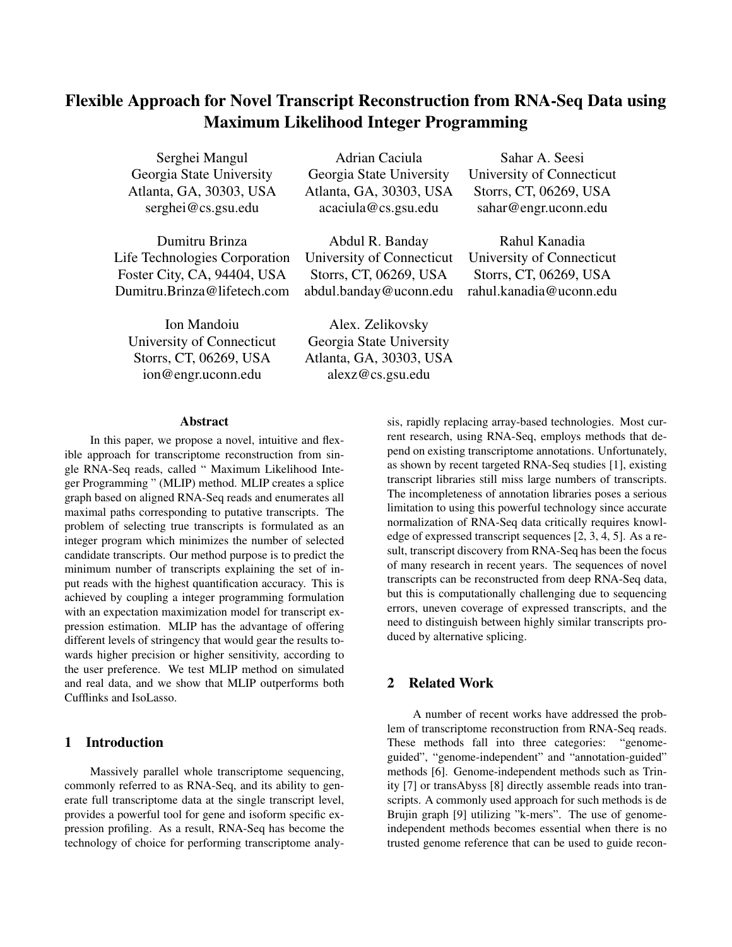# Flexible Approach for Novel Transcript Reconstruction from RNA-Seq Data using Maximum Likelihood Integer Programming

Life Technologies Corporation University of Connecticut University of Connecticut Foster City, CA, 94404, USA Storrs, CT, 06269, USA Storrs, CT, 06269, USA Dumitru.Brinza@lifetech.com abdul.banday@uconn.edu rahul.kanadia@uconn.edu

University of Connecticut Georgia State University Storrs, CT, 06269, USA Atlanta, GA, 30303, USA ion@engr.uconn.edu alexz@cs.gsu.edu

Serghei Mangul Adrian Caciula Sahar A. Seesi Georgia State University Georgia State University University of Connecticut Atlanta, GA, 30303, USA Atlanta, GA, 30303, USA Storrs, CT, 06269, USA serghei@cs.gsu.edu acaciula@cs.gsu.edu sahar@engr.uconn.edu

Dumitru Brinza **Abdul R. Banday** Rahul Kanadia

Ion Mandoiu Alex. Zelikovsky

### Abstract

In this paper, we propose a novel, intuitive and flexible approach for transcriptome reconstruction from single RNA-Seq reads, called " Maximum Likelihood Integer Programming " (MLIP) method. MLIP creates a splice graph based on aligned RNA-Seq reads and enumerates all maximal paths corresponding to putative transcripts. The problem of selecting true transcripts is formulated as an integer program which minimizes the number of selected candidate transcripts. Our method purpose is to predict the minimum number of transcripts explaining the set of input reads with the highest quantification accuracy. This is achieved by coupling a integer programming formulation with an expectation maximization model for transcript expression estimation. MLIP has the advantage of offering different levels of stringency that would gear the results towards higher precision or higher sensitivity, according to the user preference. We test MLIP method on simulated and real data, and we show that MLIP outperforms both Cufflinks and IsoLasso.

# 1 Introduction

Massively parallel whole transcriptome sequencing, commonly referred to as RNA-Seq, and its ability to generate full transcriptome data at the single transcript level, provides a powerful tool for gene and isoform specific expression profiling. As a result, RNA-Seq has become the technology of choice for performing transcriptome analysis, rapidly replacing array-based technologies. Most current research, using RNA-Seq, employs methods that depend on existing transcriptome annotations. Unfortunately, as shown by recent targeted RNA-Seq studies [1], existing transcript libraries still miss large numbers of transcripts. The incompleteness of annotation libraries poses a serious limitation to using this powerful technology since accurate normalization of RNA-Seq data critically requires knowledge of expressed transcript sequences [2, 3, 4, 5]. As a result, transcript discovery from RNA-Seq has been the focus of many research in recent years. The sequences of novel transcripts can be reconstructed from deep RNA-Seq data, but this is computationally challenging due to sequencing errors, uneven coverage of expressed transcripts, and the need to distinguish between highly similar transcripts produced by alternative splicing.

# 2 Related Work

A number of recent works have addressed the problem of transcriptome reconstruction from RNA-Seq reads. These methods fall into three categories: "genomeguided", "genome-independent" and "annotation-guided" methods [6]. Genome-independent methods such as Trinity [7] or transAbyss [8] directly assemble reads into transcripts. A commonly used approach for such methods is de Brujin graph [9] utilizing "k-mers". The use of genomeindependent methods becomes essential when there is no trusted genome reference that can be used to guide recon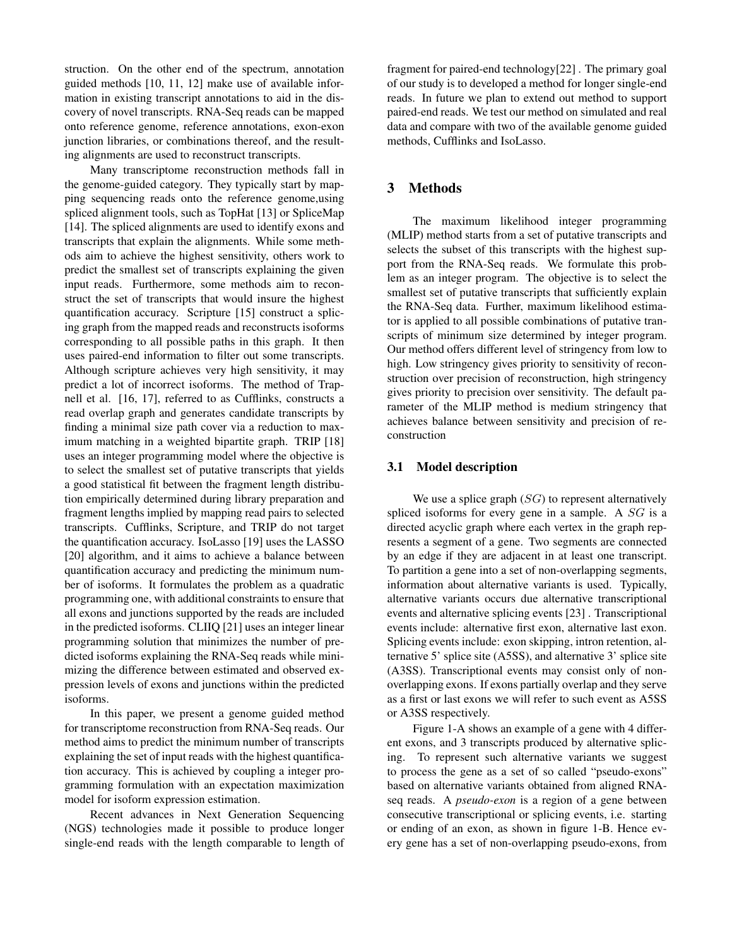struction. On the other end of the spectrum, annotation guided methods [10, 11, 12] make use of available information in existing transcript annotations to aid in the discovery of novel transcripts. RNA-Seq reads can be mapped onto reference genome, reference annotations, exon-exon junction libraries, or combinations thereof, and the resulting alignments are used to reconstruct transcripts.

Many transcriptome reconstruction methods fall in the genome-guided category. They typically start by mapping sequencing reads onto the reference genome,using spliced alignment tools, such as TopHat [13] or SpliceMap [14]. The spliced alignments are used to identify exons and transcripts that explain the alignments. While some methods aim to achieve the highest sensitivity, others work to predict the smallest set of transcripts explaining the given input reads. Furthermore, some methods aim to reconstruct the set of transcripts that would insure the highest quantification accuracy. Scripture [15] construct a splicing graph from the mapped reads and reconstructs isoforms corresponding to all possible paths in this graph. It then uses paired-end information to filter out some transcripts. Although scripture achieves very high sensitivity, it may predict a lot of incorrect isoforms. The method of Trapnell et al. [16, 17], referred to as Cufflinks, constructs a read overlap graph and generates candidate transcripts by finding a minimal size path cover via a reduction to maximum matching in a weighted bipartite graph. TRIP [18] uses an integer programming model where the objective is to select the smallest set of putative transcripts that yields a good statistical fit between the fragment length distribution empirically determined during library preparation and fragment lengths implied by mapping read pairs to selected transcripts. Cufflinks, Scripture, and TRIP do not target the quantification accuracy. IsoLasso [19] uses the LASSO [20] algorithm, and it aims to achieve a balance between quantification accuracy and predicting the minimum number of isoforms. It formulates the problem as a quadratic programming one, with additional constraints to ensure that all exons and junctions supported by the reads are included in the predicted isoforms. CLIIQ [21] uses an integer linear programming solution that minimizes the number of predicted isoforms explaining the RNA-Seq reads while minimizing the difference between estimated and observed expression levels of exons and junctions within the predicted isoforms.

In this paper, we present a genome guided method for transcriptome reconstruction from RNA-Seq reads. Our method aims to predict the minimum number of transcripts explaining the set of input reads with the highest quantification accuracy. This is achieved by coupling a integer programming formulation with an expectation maximization model for isoform expression estimation.

Recent advances in Next Generation Sequencing (NGS) technologies made it possible to produce longer single-end reads with the length comparable to length of fragment for paired-end technology[22] . The primary goal of our study is to developed a method for longer single-end reads. In future we plan to extend out method to support paired-end reads. We test our method on simulated and real data and compare with two of the available genome guided methods, Cufflinks and IsoLasso.

# 3 Methods

The maximum likelihood integer programming (MLIP) method starts from a set of putative transcripts and selects the subset of this transcripts with the highest support from the RNA-Seq reads. We formulate this problem as an integer program. The objective is to select the smallest set of putative transcripts that sufficiently explain the RNA-Seq data. Further, maximum likelihood estimator is applied to all possible combinations of putative transcripts of minimum size determined by integer program. Our method offers different level of stringency from low to high. Low stringency gives priority to sensitivity of reconstruction over precision of reconstruction, high stringency gives priority to precision over sensitivity. The default parameter of the MLIP method is medium stringency that achieves balance between sensitivity and precision of reconstruction

#### 3.1 Model description

We use a splice graph  $(SG)$  to represent alternatively spliced isoforms for every gene in a sample. A  $SG$  is a directed acyclic graph where each vertex in the graph represents a segment of a gene. Two segments are connected by an edge if they are adjacent in at least one transcript. To partition a gene into a set of non-overlapping segments, information about alternative variants is used. Typically, alternative variants occurs due alternative transcriptional events and alternative splicing events [23] . Transcriptional events include: alternative first exon, alternative last exon. Splicing events include: exon skipping, intron retention, alternative 5' splice site (A5SS), and alternative 3' splice site (A3SS). Transcriptional events may consist only of nonoverlapping exons. If exons partially overlap and they serve as a first or last exons we will refer to such event as A5SS or A3SS respectively.

Figure 1-A shows an example of a gene with 4 different exons, and 3 transcripts produced by alternative splicing. To represent such alternative variants we suggest to process the gene as a set of so called "pseudo-exons" based on alternative variants obtained from aligned RNAseq reads. A *pseudo-exon* is a region of a gene between consecutive transcriptional or splicing events, i.e. starting or ending of an exon, as shown in figure 1-B. Hence every gene has a set of non-overlapping pseudo-exons, from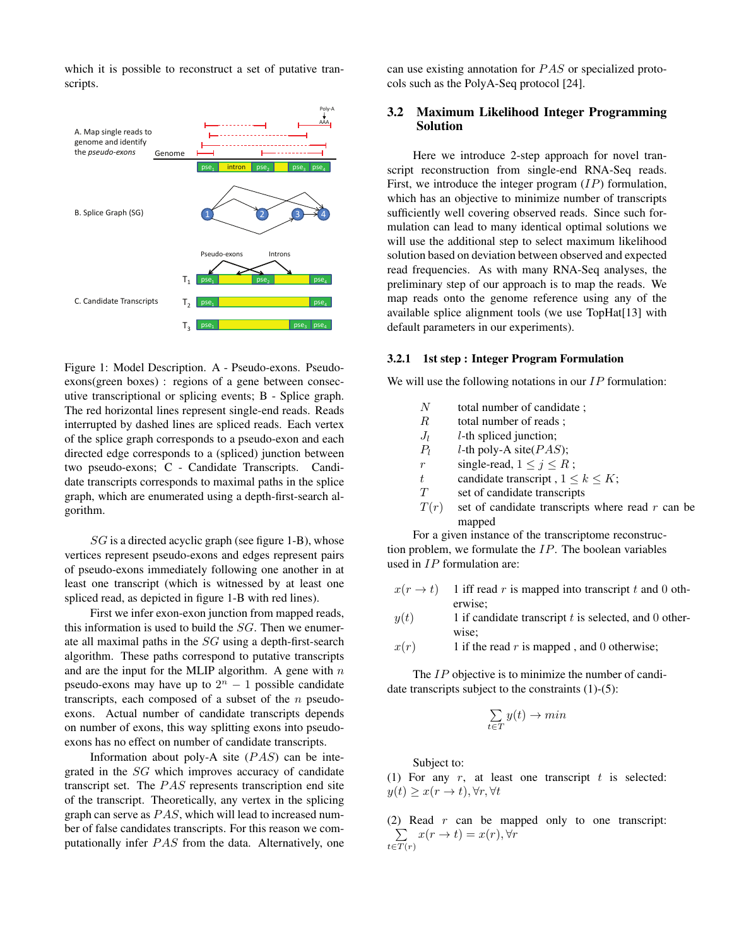which it is possible to reconstruct a set of putative transcripts.



Figure 1: Model Description. A - Pseudo-exons. Pseudoexons(green boxes) : regions of a gene between consecutive transcriptional or splicing events; B - Splice graph. The red horizontal lines represent single-end reads. Reads interrupted by dashed lines are spliced reads. Each vertex of the splice graph corresponds to a pseudo-exon and each directed edge corresponds to a (spliced) junction between two pseudo-exons; C - Candidate Transcripts. Candidate transcripts corresponds to maximal paths in the splice graph, which are enumerated using a depth-first-search algorithm.

 $SG$  is a directed acyclic graph (see figure 1-B), whose vertices represent pseudo-exons and edges represent pairs of pseudo-exons immediately following one another in at least one transcript (which is witnessed by at least one spliced read, as depicted in figure 1-B with red lines).

First we infer exon-exon junction from mapped reads, this information is used to build the  $SG$ . Then we enumerate all maximal paths in the SG using a depth-first-search algorithm. These paths correspond to putative transcripts and are the input for the MLIP algorithm. A gene with  $n$ pseudo-exons may have up to  $2^n - 1$  possible candidate transcripts, each composed of a subset of the  $n$  pseudoexons. Actual number of candidate transcripts depends on number of exons, this way splitting exons into pseudoexons has no effect on number of candidate transcripts.

Information about poly-A site  $(PAS)$  can be integrated in the SG which improves accuracy of candidate transcript set. The  $PAS$  represents transcription end site of the transcript. Theoretically, any vertex in the splicing graph can serve as  $PAS$ , which will lead to increased number of false candidates transcripts. For this reason we computationally infer  $PAS$  from the data. Alternatively, one

can use existing annotation for  $PAS$  or specialized protocols such as the PolyA-Seq protocol [24].

## 3.2 Maximum Likelihood Integer Programming Solution

Here we introduce 2-step approach for novel transcript reconstruction from single-end RNA-Seq reads. First, we introduce the integer program  $(IP)$  formulation, which has an objective to minimize number of transcripts sufficiently well covering observed reads. Since such formulation can lead to many identical optimal solutions we will use the additional step to select maximum likelihood solution based on deviation between observed and expected read frequencies. As with many RNA-Seq analyses, the preliminary step of our approach is to map the reads. We map reads onto the genome reference using any of the available splice alignment tools (we use TopHat[13] with default parameters in our experiments).

#### 3.2.1 1st step : Integer Program Formulation

We will use the following notations in our  $IP$  formulation:

- $R$  total number of reads;
- $J_l$ l-th spliced junction;
- $P<sub>l</sub>$ *l*-th poly-A site( $PAS$ );
- r single-read,  $1 \leq j \leq R$ ;
- t candidate transcript ,  $1 \leq k \leq K$ ;
- T set of candidate transcripts
- $T(r)$  set of candidate transcripts where read r can be mapped

For a given instance of the transcriptome reconstruction problem, we formulate the  $IP$ . The boolean variables used in IP formulation are:

- $x(r \to t)$  1 iff read r is mapped into transcript t and 0 otherwise;
- $y(t)$  1 if candidate transcript t is selected, and 0 otherwise;
- $x(r)$  1 if the read r is mapped, and 0 otherwise;

The IP objective is to minimize the number of candidate transcripts subject to the constraints (1)-(5):

$$
\sum_{t \in T} y(t) \to min
$$

Subject to:

(1) For any  $r$ , at least one transcript  $t$  is selected:  $y(t) > x(r \to t), \forall r, \forall t$ 

(2) Read  $r$  can be mapped only to one transcript: P  $t \in T(r)$  $x(r \to t) = x(r), \forall r$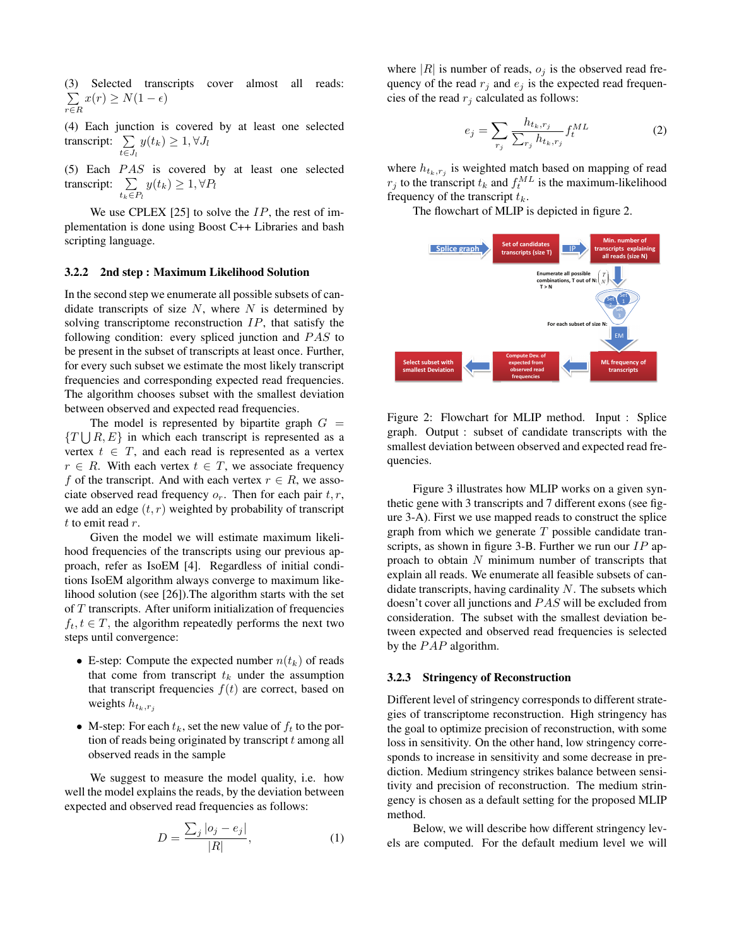Selected transcripts cover almost all reads:  $\sum$ r∈R  $x(r) \geq N(1-\epsilon)$ 

(4) Each junction is covered by at least one selected transcript:  $\Sigma$  $t \in J_l$  $y(t_k) \geq 1, \forall J_l$ 

(5) Each  $PAS$  is covered by at least one selected transcript:  $\sum$  $t_k \in P_l$  $y(t_k) \geq 1, \forall P_l$ 

We use CPLEX [25] to solve the  $IP$ , the rest of implementation is done using Boost C++ Libraries and bash scripting language.

#### 3.2.2 2nd step : Maximum Likelihood Solution

In the second step we enumerate all possible subsets of candidate transcripts of size  $N$ , where  $N$  is determined by solving transcriptome reconstruction IP, that satisfy the following condition: every spliced junction and  $PAS$  to be present in the subset of transcripts at least once. Further, for every such subset we estimate the most likely transcript frequencies and corresponding expected read frequencies. The algorithm chooses subset with the smallest deviation between observed and expected read frequencies.

The model is represented by bipartite graph  $G =$  $\{T \cup R, E\}$  in which each transcript is represented as a vertex  $t \in T$ , and each read is represented as a vertex  $r \in R$ . With each vertex  $t \in T$ , we associate frequency f of the transcript. And with each vertex  $r \in R$ , we associate observed read frequency  $o_r$ . Then for each pair  $t, r$ , we add an edge  $(t, r)$  weighted by probability of transcript  $t$  to emit read  $r$ .

Given the model we will estimate maximum likelihood frequencies of the transcripts using our previous approach, refer as IsoEM [4]. Regardless of initial conditions IsoEM algorithm always converge to maximum likelihood solution (see [26]).The algorithm starts with the set of  $T$  transcripts. After uniform initialization of frequencies  $f_t, t \in T$ , the algorithm repeatedly performs the next two steps until convergence:

- E-step: Compute the expected number  $n(t_k)$  of reads that come from transcript  $t_k$  under the assumption that transcript frequencies  $f(t)$  are correct, based on weights  $h_{t_k,r_j}$
- M-step: For each  $t_k$ , set the new value of  $f_t$  to the portion of reads being originated by transcript t among all observed reads in the sample

We suggest to measure the model quality, i.e. how well the model explains the reads, by the deviation between expected and observed read frequencies as follows:

$$
D = \frac{\sum_{j} |o_j - e_j|}{|R|},\tag{1}
$$

where  $|R|$  is number of reads,  $o_j$  is the observed read frequency of the read  $r_j$  and  $e_j$  is the expected read frequencies of the read  $r_j$  calculated as follows:

$$
e_j = \sum_{r_j} \frac{h_{t_k, r_j}}{\sum_{r_j} h_{t_k, r_j}} f_t^{ML}
$$
 (2)

where  $h_{t_k,r_j}$  is weighted match based on mapping of read  $r_j$  to the transcript  $t_k$  and  $f_t^{ML}$  is the maximum-likelihood frequency of the transcript  $t_k$ .

The flowchart of MLIP is depicted in figure 2.



Figure 2: Flowchart for MLIP method. Input : Splice graph. Output : subset of candidate transcripts with the smallest deviation between observed and expected read frequencies.

Figure 3 illustrates how MLIP works on a given synthetic gene with 3 transcripts and 7 different exons (see figure 3-A). First we use mapped reads to construct the splice graph from which we generate  $T$  possible candidate transcripts, as shown in figure 3-B. Further we run our  $IP$  approach to obtain  $N$  minimum number of transcripts that explain all reads. We enumerate all feasible subsets of candidate transcripts, having cardinality  $N$ . The subsets which doesn't cover all junctions and PAS will be excluded from consideration. The subset with the smallest deviation between expected and observed read frequencies is selected by the  $PAP$  algorithm.

#### 3.2.3 Stringency of Reconstruction

Different level of stringency corresponds to different strategies of transcriptome reconstruction. High stringency has the goal to optimize precision of reconstruction, with some loss in sensitivity. On the other hand, low stringency corresponds to increase in sensitivity and some decrease in prediction. Medium stringency strikes balance between sensitivity and precision of reconstruction. The medium stringency is chosen as a default setting for the proposed MLIP method.

Below, we will describe how different stringency levels are computed. For the default medium level we will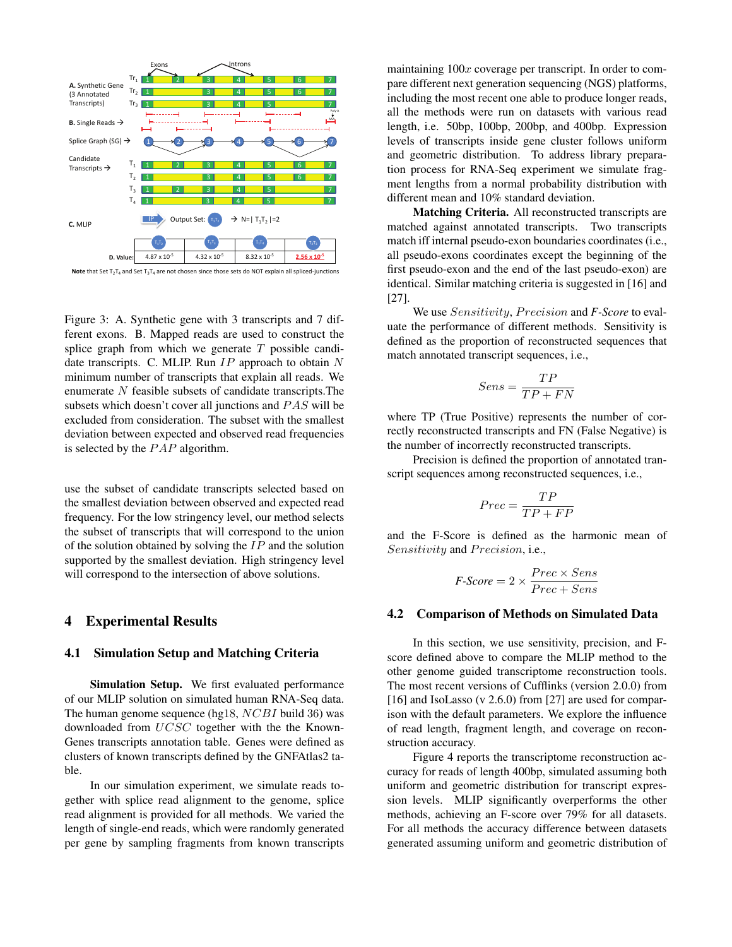

**Note** that Set  $T_2T_4$  and Set  $T_3T_4$  are not chosen since those sets do NOT explain all spliced-junctions

Figure 3: A. Synthetic gene with 3 transcripts and 7 different exons. B. Mapped reads are used to construct the splice graph from which we generate  $T$  possible candidate transcripts. C. MLIP. Run  $IP$  approach to obtain  $N$ minimum number of transcripts that explain all reads. We enumerate N feasible subsets of candidate transcripts.The subsets which doesn't cover all junctions and PAS will be excluded from consideration. The subset with the smallest deviation between expected and observed read frequencies is selected by the  $PAP$  algorithm.

use the subset of candidate transcripts selected based on the smallest deviation between observed and expected read frequency. For the low stringency level, our method selects the subset of transcripts that will correspond to the union of the solution obtained by solving the  $IP$  and the solution supported by the smallest deviation. High stringency level will correspond to the intersection of above solutions.

### 4 Experimental Results

#### 4.1 Simulation Setup and Matching Criteria

Simulation Setup. We first evaluated performance of our MLIP solution on simulated human RNA-Seq data. The human genome sequence (hg18, NCBI build 36) was downloaded from UCSC together with the the Known-Genes transcripts annotation table. Genes were defined as clusters of known transcripts defined by the GNFAtlas2 table.

In our simulation experiment, we simulate reads together with splice read alignment to the genome, splice read alignment is provided for all methods. We varied the length of single-end reads, which were randomly generated per gene by sampling fragments from known transcripts

maintaining  $100x$  coverage per transcript. In order to compare different next generation sequencing (NGS) platforms, including the most recent one able to produce longer reads, all the methods were run on datasets with various read length, i.e. 50bp, 100bp, 200bp, and 400bp. Expression levels of transcripts inside gene cluster follows uniform and geometric distribution. To address library preparation process for RNA-Seq experiment we simulate fragment lengths from a normal probability distribution with different mean and 10% standard deviation.

Matching Criteria. All reconstructed transcripts are matched against annotated transcripts. Two transcripts match iff internal pseudo-exon boundaries coordinates (i.e., all pseudo-exons coordinates except the beginning of the first pseudo-exon and the end of the last pseudo-exon) are identical. Similar matching criteria is suggested in [16] and [27].

We use *Sensitivity*, *Precision* and *F-Score* to evaluate the performance of different methods. Sensitivity is defined as the proportion of reconstructed sequences that match annotated transcript sequences, i.e.,

$$
Sens = \frac{TP}{TP + FN}
$$

where TP (True Positive) represents the number of correctly reconstructed transcripts and FN (False Negative) is the number of incorrectly reconstructed transcripts.

Precision is defined the proportion of annotated transcript sequences among reconstructed sequences, i.e.,

$$
Prec = \frac{TP}{TP + FP}
$$

and the F-Score is defined as the harmonic mean of Sensitivity and Precision, i.e.,

$$
F\text{-}Score = 2 \times \frac{Prec \times Sens}{Prec + Sens}
$$

#### 4.2 Comparison of Methods on Simulated Data

In this section, we use sensitivity, precision, and Fscore defined above to compare the MLIP method to the other genome guided transcriptome reconstruction tools. The most recent versions of Cufflinks (version 2.0.0) from [16] and IsoLasso (v 2.6.0) from [27] are used for comparison with the default parameters. We explore the influence of read length, fragment length, and coverage on reconstruction accuracy.

Figure 4 reports the transcriptome reconstruction accuracy for reads of length 400bp, simulated assuming both uniform and geometric distribution for transcript expression levels. MLIP significantly overperforms the other methods, achieving an F-score over 79% for all datasets. For all methods the accuracy difference between datasets generated assuming uniform and geometric distribution of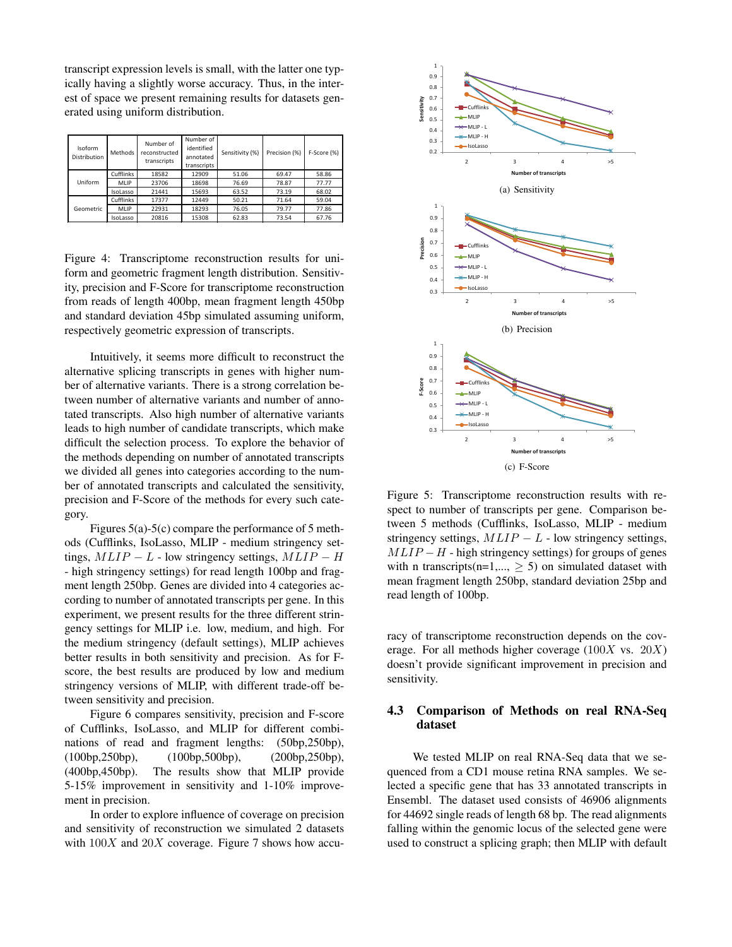transcript expression levels is small, with the latter one typically having a slightly worse accuracy. Thus, in the interest of space we present remaining results for datasets generated using uniform distribution.

| Isoform<br><b>Distribution</b> | Methods          | Number of<br>reconstructed<br>transcripts | Number of<br>identified<br>annotated<br>transcripts | Sensitivity (%) | Precision (%) | F-Score (%) |
|--------------------------------|------------------|-------------------------------------------|-----------------------------------------------------|-----------------|---------------|-------------|
|                                | Cufflinks        | 18582                                     | 12909                                               | 51.06           | 69.47         | 58.86       |
| Uniform                        | <b>MLIP</b>      | 23706                                     | 18698                                               | 76.69           | 78.87         | 77.77       |
|                                | IsoLasso         | 21441                                     | 15693                                               | 63.52           | 73.19         | 68.02       |
| Geometric                      | <b>Cufflinks</b> | 17377                                     | 12449                                               | 50.21           | 71.64         | 59.04       |
|                                | <b>MLIP</b>      | 22931                                     | 18293                                               | 76.05           | 79.77         | 77.86       |
|                                | IsoLasso         | 20816                                     | 15308                                               | 62.83           | 73.54         | 67.76       |

Figure 4: Transcriptome reconstruction results for uniform and geometric fragment length distribution. Sensitivity, precision and F-Score for transcriptome reconstruction from reads of length 400bp, mean fragment length 450bp and standard deviation 45bp simulated assuming uniform, respectively geometric expression of transcripts.

Intuitively, it seems more difficult to reconstruct the alternative splicing transcripts in genes with higher number of alternative variants. There is a strong correlation between number of alternative variants and number of annotated transcripts. Also high number of alternative variants leads to high number of candidate transcripts, which make difficult the selection process. To explore the behavior of the methods depending on number of annotated transcripts we divided all genes into categories according to the number of annotated transcripts and calculated the sensitivity, precision and F-Score of the methods for every such category.

Figures 5(a)-5(c) compare the performance of 5 methods (Cufflinks, IsoLasso, MLIP - medium stringency settings,  $MLIP - L$  - low stringency settings,  $MLIP - H$ - high stringency settings) for read length 100bp and fragment length 250bp. Genes are divided into 4 categories according to number of annotated transcripts per gene. In this experiment, we present results for the three different stringency settings for MLIP i.e. low, medium, and high. For the medium stringency (default settings), MLIP achieves better results in both sensitivity and precision. As for Fscore, the best results are produced by low and medium stringency versions of MLIP, with different trade-off between sensitivity and precision.

Figure 6 compares sensitivity, precision and F-score of Cufflinks, IsoLasso, and MLIP for different combinations of read and fragment lengths: (50bp,250bp), (100bp,250bp), (100bp,500bp), (200bp,250bp), (400bp,450bp). The results show that MLIP provide 5-15% improvement in sensitivity and 1-10% improvement in precision.

In order to explore influence of coverage on precision and sensitivity of reconstruction we simulated 2 datasets with  $100X$  and  $20X$  coverage. Figure 7 shows how accu-



Figure 5: Transcriptome reconstruction results with respect to number of transcripts per gene. Comparison between 5 methods (Cufflinks, IsoLasso, MLIP - medium stringency settings,  $MLIP - L$  - low stringency settings,  $MLIP - H$  - high stringency settings) for groups of genes with n transcripts(n=1,...,  $\geq$  5) on simulated dataset with mean fragment length 250bp, standard deviation 25bp and read length of 100bp.

racy of transcriptome reconstruction depends on the coverage. For all methods higher coverage  $(100X \text{ vs. } 20X)$ doesn't provide significant improvement in precision and sensitivity.

# 4.3 Comparison of Methods on real RNA-Seq dataset

We tested MLIP on real RNA-Seq data that we sequenced from a CD1 mouse retina RNA samples. We selected a specific gene that has 33 annotated transcripts in Ensembl. The dataset used consists of 46906 alignments for 44692 single reads of length 68 bp. The read alignments falling within the genomic locus of the selected gene were used to construct a splicing graph; then MLIP with default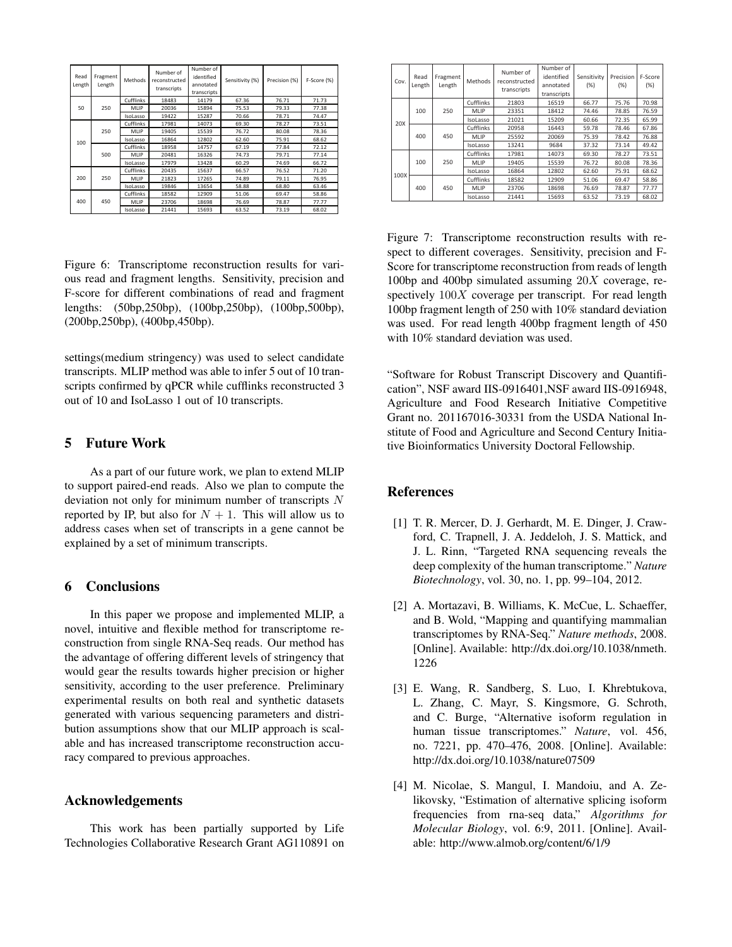| Read<br>Length | Fragment<br>Length | Methods   | Number of<br>reconstructed<br>transcripts | Number of<br>identified<br>annotated<br>transcripts | Sensitivity (%) | Precision (%) | F-Score (%) |
|----------------|--------------------|-----------|-------------------------------------------|-----------------------------------------------------|-----------------|---------------|-------------|
| 50             | 250                | Cufflinks | 18483                                     | 14179                                               | 67.36           | 76.71         | 71.73       |
|                |                    | MLIP      | 20036                                     | 15894                                               | 75.53           | 79.33         | 77.38       |
|                |                    | IsoLasso  | 19422                                     | 15287                                               | 70.66           | 78.71         | 74.47       |
| 100            | 250                | Cufflinks | 17981                                     | 14073                                               | 69.30           | 78.27         | 73.51       |
|                |                    | MLIP      | 19405                                     | 15539                                               | 76.72           | 80.08         | 78.36       |
|                |                    | IsoLasso  | 16864                                     | 12802                                               | 62.60           | 75.91         | 68.62       |
|                | 500                | Cufflinks | 18958                                     | 14757                                               | 67.19           | 77.84         | 72.12       |
|                |                    | MLIP      | 20481                                     | 16326                                               | 74.73           | 79.71         | 77.14       |
|                |                    | IsoLasso  | 17979                                     | 13428                                               | 60.29           | 74.69         | 66.72       |
| 200            | 250                | Cufflinks | 20435                                     | 15637                                               | 66.57           | 76.52         | 71.20       |
|                |                    | MLIP      | 21823                                     | 17265                                               | 74.89           | 79.11         | 76.95       |
|                |                    | IsoLasso  | 19846                                     | 13654                                               | 58.88           | 68.80         | 63.46       |
| 400            | 450                | Cufflinks | 18582                                     | 12909                                               | 51.06           | 69.47         | 58.86       |
|                |                    | MLIP      | 23706                                     | 18698                                               | 76.69           | 78.87         | 77.77       |
|                |                    | IsoLasso  | 21441                                     | 15693                                               | 63.52           | 73.19         | 68.02       |

Figure 6: Transcriptome reconstruction results for various read and fragment lengths. Sensitivity, precision and F-score for different combinations of read and fragment lengths: (50bp,250bp), (100bp,250bp), (100bp,500bp), (200bp,250bp), (400bp,450bp).

settings(medium stringency) was used to select candidate transcripts. MLIP method was able to infer 5 out of 10 transcripts confirmed by qPCR while cufflinks reconstructed 3 out of 10 and IsoLasso 1 out of 10 transcripts.

## 5 Future Work

As a part of our future work, we plan to extend MLIP to support paired-end reads. Also we plan to compute the deviation not only for minimum number of transcripts N reported by IP, but also for  $N + 1$ . This will allow us to address cases when set of transcripts in a gene cannot be explained by a set of minimum transcripts.

# 6 Conclusions

In this paper we propose and implemented MLIP, a novel, intuitive and flexible method for transcriptome reconstruction from single RNA-Seq reads. Our method has the advantage of offering different levels of stringency that would gear the results towards higher precision or higher sensitivity, according to the user preference. Preliminary experimental results on both real and synthetic datasets generated with various sequencing parameters and distribution assumptions show that our MLIP approach is scalable and has increased transcriptome reconstruction accuracy compared to previous approaches.

#### Acknowledgements

This work has been partially supported by Life Technologies Collaborative Research Grant AG110891 on

| Cov. | Read<br>Length | Fragment<br>Length | <b>Methods</b> | Number of<br>reconstructed<br>transcripts | Number of<br>identified<br>annotated<br>transcripts | Sensitivity<br>(% ) | Precision<br>(% ) | F-Score<br>(% ) |
|------|----------------|--------------------|----------------|-------------------------------------------|-----------------------------------------------------|---------------------|-------------------|-----------------|
| 20X  | 100            | 250                | Cufflinks      | 21803                                     | 16519                                               | 66.77               | 75.76             | 70.98           |
|      |                |                    | MLIP           | 23351                                     | 18412                                               | 74.46               | 78.85             | 76.59           |
|      |                |                    | IsoLasso       | 21021                                     | 15209                                               | 60.66               | 72.35             | 65.99           |
|      | 400            | 450                | Cufflinks      | 20958                                     | 16443                                               | 59.78               | 78.46             | 67.86           |
|      |                |                    | MLIP           | 25592                                     | 20069                                               | 75.39               | 78.42             | 76.88           |
|      |                |                    | IsoLasso       | 13241                                     | 9684                                                | 37.32               | 73.14             | 49.42           |
| 100X | 100            | 250                | Cufflinks      | 17981                                     | 14073                                               | 69.30               | 78.27             | 73.51           |
|      |                |                    | <b>MLIP</b>    | 19405                                     | 15539                                               | 76.72               | 80.08             | 78.36           |
|      |                |                    | IsoLasso       | 16864                                     | 12802                                               | 62.60               | 75.91             | 68.62           |
|      | 400            | 450                | Cufflinks      | 18582                                     | 12909                                               | 51.06               | 69.47             | 58.86           |
|      |                |                    | MLIP           | 23706                                     | 18698                                               | 76.69               | 78.87             | 77.77           |
|      |                |                    | IsoLasso       | 21441                                     | 15693                                               | 63.52               | 73.19             | 68.02           |

Figure 7: Transcriptome reconstruction results with respect to different coverages. Sensitivity, precision and F-Score for transcriptome reconstruction from reads of length 100bp and 400bp simulated assuming  $20X$  coverage, respectively  $100X$  coverage per transcript. For read length 100bp fragment length of 250 with 10% standard deviation was used. For read length 400bp fragment length of 450 with 10% standard deviation was used.

"Software for Robust Transcript Discovery and Quantification", NSF award IIS-0916401,NSF award IIS-0916948, Agriculture and Food Research Initiative Competitive Grant no. 201167016-30331 from the USDA National Institute of Food and Agriculture and Second Century Initiative Bioinformatics University Doctoral Fellowship.

# References

- [1] T. R. Mercer, D. J. Gerhardt, M. E. Dinger, J. Crawford, C. Trapnell, J. A. Jeddeloh, J. S. Mattick, and J. L. Rinn, "Targeted RNA sequencing reveals the deep complexity of the human transcriptome." *Nature Biotechnology*, vol. 30, no. 1, pp. 99–104, 2012.
- [2] A. Mortazavi, B. Williams, K. McCue, L. Schaeffer, and B. Wold, "Mapping and quantifying mammalian transcriptomes by RNA-Seq." *Nature methods*, 2008. [Online]. Available: http://dx.doi.org/10.1038/nmeth. 1226
- [3] E. Wang, R. Sandberg, S. Luo, I. Khrebtukova, L. Zhang, C. Mayr, S. Kingsmore, G. Schroth, and C. Burge, "Alternative isoform regulation in human tissue transcriptomes." *Nature*, vol. 456, no. 7221, pp. 470–476, 2008. [Online]. Available: http://dx.doi.org/10.1038/nature07509
- [4] M. Nicolae, S. Mangul, I. Mandoiu, and A. Zelikovsky, "Estimation of alternative splicing isoform frequencies from rna-seq data," *Algorithms for Molecular Biology*, vol. 6:9, 2011. [Online]. Available: http://www.almob.org/content/6/1/9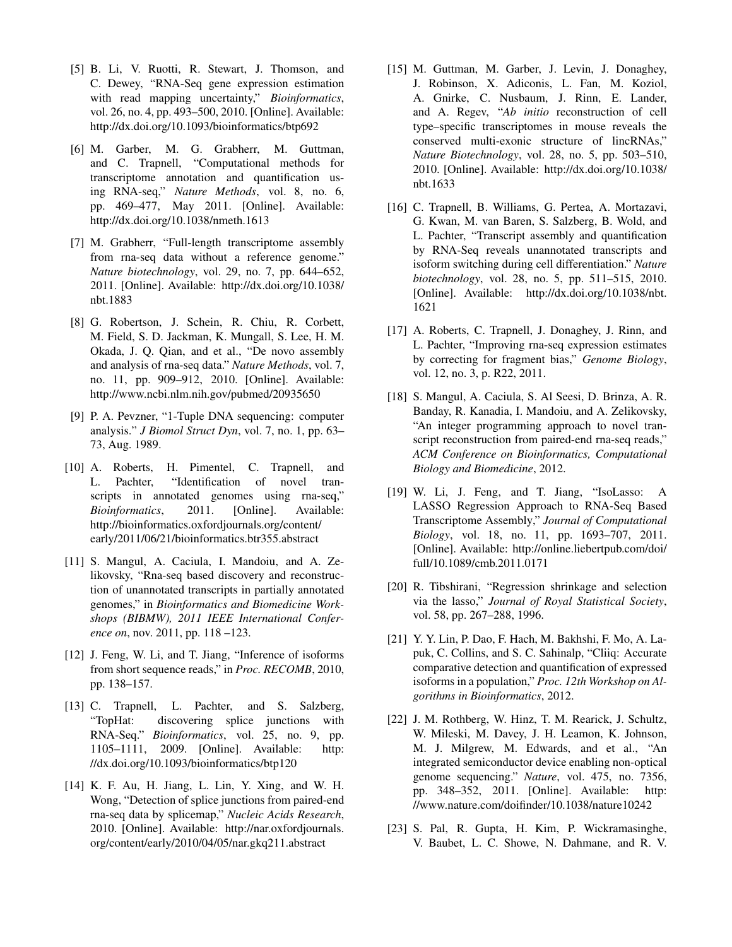- [5] B. Li, V. Ruotti, R. Stewart, J. Thomson, and C. Dewey, "RNA-Seq gene expression estimation with read mapping uncertainty," *Bioinformatics*, vol. 26, no. 4, pp. 493–500, 2010. [Online]. Available: http://dx.doi.org/10.1093/bioinformatics/btp692
- [6] M. Garber, M. G. Grabherr, M. Guttman, and C. Trapnell, "Computational methods for transcriptome annotation and quantification using RNA-seq," *Nature Methods*, vol. 8, no. 6, pp. 469–477, May 2011. [Online]. Available: http://dx.doi.org/10.1038/nmeth.1613
- [7] M. Grabherr, "Full-length transcriptome assembly from rna-seq data without a reference genome." *Nature biotechnology*, vol. 29, no. 7, pp. 644–652, 2011. [Online]. Available: http://dx.doi.org/10.1038/ nbt.1883
- [8] G. Robertson, J. Schein, R. Chiu, R. Corbett, M. Field, S. D. Jackman, K. Mungall, S. Lee, H. M. Okada, J. Q. Qian, and et al., "De novo assembly and analysis of rna-seq data." *Nature Methods*, vol. 7, no. 11, pp. 909–912, 2010. [Online]. Available: http://www.ncbi.nlm.nih.gov/pubmed/20935650
- [9] P. A. Pevzner, "1-Tuple DNA sequencing: computer analysis." *J Biomol Struct Dyn*, vol. 7, no. 1, pp. 63– 73, Aug. 1989.
- [10] A. Roberts, H. Pimentel, C. Trapnell, and L. Pachter, "Identification of novel transcripts in annotated genomes using rna-seq," *Bioinformatics*, 2011. [Online]. Available: http://bioinformatics.oxfordjournals.org/content/ early/2011/06/21/bioinformatics.btr355.abstract
- [11] S. Mangul, A. Caciula, I. Mandoiu, and A. Zelikovsky, "Rna-seq based discovery and reconstruction of unannotated transcripts in partially annotated genomes," in *Bioinformatics and Biomedicine Workshops (BIBMW), 2011 IEEE International Conference on*, nov. 2011, pp. 118 –123.
- [12] J. Feng, W. Li, and T. Jiang, "Inference of isoforms from short sequence reads," in *Proc. RECOMB*, 2010, pp. 138–157.
- [13] C. Trapnell, L. Pachter, and S. Salzberg, "TopHat: discovering splice junctions with RNA-Seq." *Bioinformatics*, vol. 25, no. 9, pp. 1105–1111, 2009. [Online]. Available: http: //dx.doi.org/10.1093/bioinformatics/btp120
- [14] K. F. Au, H. Jiang, L. Lin, Y. Xing, and W. H. Wong, "Detection of splice junctions from paired-end rna-seq data by splicemap," *Nucleic Acids Research*, 2010. [Online]. Available: http://nar.oxfordjournals. org/content/early/2010/04/05/nar.gkq211.abstract
- [15] M. Guttman, M. Garber, J. Levin, J. Donaghey, J. Robinson, X. Adiconis, L. Fan, M. Koziol, A. Gnirke, C. Nusbaum, J. Rinn, E. Lander, and A. Regev, "*Ab initio* reconstruction of cell type–specific transcriptomes in mouse reveals the conserved multi-exonic structure of lincRNAs," *Nature Biotechnology*, vol. 28, no. 5, pp. 503–510, 2010. [Online]. Available: http://dx.doi.org/10.1038/ nbt.1633
- [16] C. Trapnell, B. Williams, G. Pertea, A. Mortazavi, G. Kwan, M. van Baren, S. Salzberg, B. Wold, and L. Pachter, "Transcript assembly and quantification by RNA-Seq reveals unannotated transcripts and isoform switching during cell differentiation." *Nature biotechnology*, vol. 28, no. 5, pp. 511–515, 2010. [Online]. Available: http://dx.doi.org/10.1038/nbt. 1621
- [17] A. Roberts, C. Trapnell, J. Donaghey, J. Rinn, and L. Pachter, "Improving rna-seq expression estimates by correcting for fragment bias," *Genome Biology*, vol. 12, no. 3, p. R22, 2011.
- [18] S. Mangul, A. Caciula, S. Al Seesi, D. Brinza, A. R. Banday, R. Kanadia, I. Mandoiu, and A. Zelikovsky, "An integer programming approach to novel transcript reconstruction from paired-end rna-seq reads," *ACM Conference on Bioinformatics, Computational Biology and Biomedicine*, 2012.
- [19] W. Li, J. Feng, and T. Jiang, "IsoLasso: A LASSO Regression Approach to RNA-Seq Based Transcriptome Assembly," *Journal of Computational Biology*, vol. 18, no. 11, pp. 1693–707, 2011. [Online]. Available: http://online.liebertpub.com/doi/ full/10.1089/cmb.2011.0171
- [20] R. Tibshirani, "Regression shrinkage and selection via the lasso," *Journal of Royal Statistical Society*, vol. 58, pp. 267–288, 1996.
- [21] Y. Y. Lin, P. Dao, F. Hach, M. Bakhshi, F. Mo, A. Lapuk, C. Collins, and S. C. Sahinalp, "Cliiq: Accurate comparative detection and quantification of expressed isoforms in a population," *Proc. 12th Workshop on Algorithms in Bioinformatics*, 2012.
- [22] J. M. Rothberg, W. Hinz, T. M. Rearick, J. Schultz, W. Mileski, M. Davey, J. H. Leamon, K. Johnson, M. J. Milgrew, M. Edwards, and et al., "An integrated semiconductor device enabling non-optical genome sequencing." *Nature*, vol. 475, no. 7356, pp. 348–352, 2011. [Online]. Available: http: //www.nature.com/doifinder/10.1038/nature10242
- [23] S. Pal, R. Gupta, H. Kim, P. Wickramasinghe, V. Baubet, L. C. Showe, N. Dahmane, and R. V.